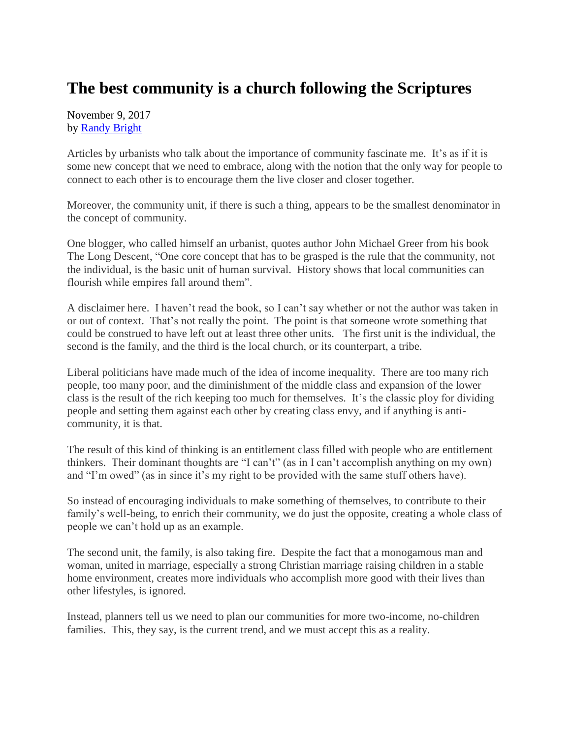## **The best community is a church following the Scriptures**

November 9, 2017 by [Randy Bright](http://tulsabeacon.com/writers/randy-bright/)

Articles by urbanists who talk about the importance of community fascinate me. It's as if it is some new concept that we need to embrace, along with the notion that the only way for people to connect to each other is to encourage them the live closer and closer together.

Moreover, the community unit, if there is such a thing, appears to be the smallest denominator in the concept of community.

One blogger, who called himself an urbanist, quotes author John Michael Greer from his book The Long Descent, "One core concept that has to be grasped is the rule that the community, not the individual, is the basic unit of human survival. History shows that local communities can flourish while empires fall around them".

A disclaimer here. I haven't read the book, so I can't say whether or not the author was taken in or out of context. That's not really the point. The point is that someone wrote something that could be construed to have left out at least three other units. The first unit is the individual, the second is the family, and the third is the local church, or its counterpart, a tribe.

Liberal politicians have made much of the idea of income inequality. There are too many rich people, too many poor, and the diminishment of the middle class and expansion of the lower class is the result of the rich keeping too much for themselves. It's the classic ploy for dividing people and setting them against each other by creating class envy, and if anything is anticommunity, it is that.

The result of this kind of thinking is an entitlement class filled with people who are entitlement thinkers. Their dominant thoughts are "I can't" (as in I can't accomplish anything on my own) and "I'm owed" (as in since it's my right to be provided with the same stuff others have).

So instead of encouraging individuals to make something of themselves, to contribute to their family's well-being, to enrich their community, we do just the opposite, creating a whole class of people we can't hold up as an example.

The second unit, the family, is also taking fire. Despite the fact that a monogamous man and woman, united in marriage, especially a strong Christian marriage raising children in a stable home environment, creates more individuals who accomplish more good with their lives than other lifestyles, is ignored.

Instead, planners tell us we need to plan our communities for more two-income, no-children families. This, they say, is the current trend, and we must accept this as a reality.